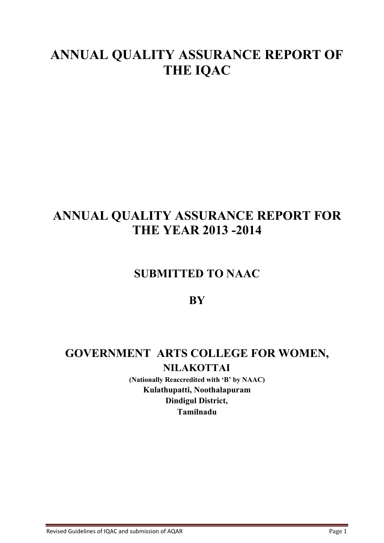# **ANNUAL QUALITY ASSURANCE REPORT OF THE IQAC**

# **ANNUAL QUALITY ASSURANCE REPORT FOR THE YEAR 2013 -2014**

# **SUBMITTED TO NAAC**

# **BY**

# **GOVERNMENT ARTS COLLEGE FOR WOMEN, NILAKOTTAI**

**(Nationally Reaccredited with 'B' by NAAC) Kulathupatti, Noothalapuram Dindigul District, Tamilnadu**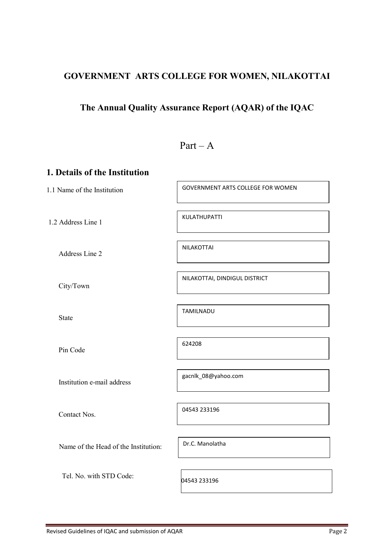# **GOVERNMENT ARTS COLLEGE FOR WOMEN, NILAKOTTAI**

# **The Annual Quality Assurance Report (AQAR) of the IQAC**

# $Part - A$

# **1. Details of the Institution**

1.1 Name of the Institution

1.2 Address Line 1

Address Line 2

City/Town

State

Pin Code

Institution e-mail address

Contact Nos.

04543 233196

Name of the Head of the Institution:

Tel. No. with STD Code:

Dr.C. Manolatha

04543 233196

GOVERNMENT ARTS COLLEGE FOR WOMEN

KULATHUPATTI

NILAKOTTAI

NILAKOTTAI, DINDIGUL DISTRICT

TAMILNADU

624208

gacnlk\_08@yahoo.com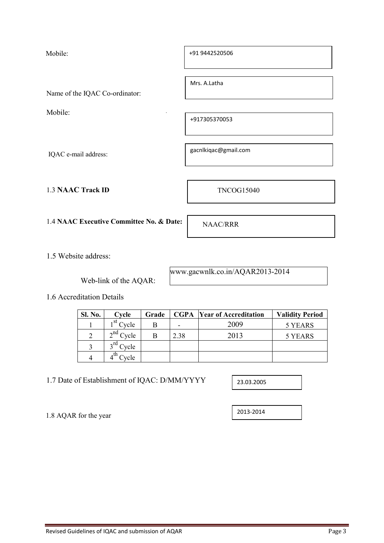Mobile:

Name of the IQAC Co-ordinator:

Mobile:

IQAC e-mail address:

1.3 **NAAC Track ID** TNCOG15040

1.4 **NAAC Executive Committee No. & Date:** NAAC/RRR

1.5 Website address:

Web-link of the AQAR:

www.gacwnlk.co.in/AQAR2013-2014

1.6 Accreditation Details

1.8 AQAR for the year

| Sl. No.        | Cycle                                 | Grade |      | <b>CGPA</b> Year of Accreditation | <b>Validity Period</b> |
|----------------|---------------------------------------|-------|------|-----------------------------------|------------------------|
|                | $\frac{1}{1}$ st $C$ <sub>VC</sub> le |       | -    | 2009                              | 5 YEARS                |
| $\mathfrak{D}$ | $\lambda$ nd $\sim$<br>'vcle          | в     | 2.38 | 2013                              | 5 YEARS                |
| 3              | ra<br>'vcle                           |       |      |                                   |                        |
| 4              | 'vcle                                 |       |      |                                   |                        |

1.7 Date of Establishment of IQAC: D/MM/YYYY

2013-2014

23.03.2005

Mrs. A.Latha

+91 9442520506

+917305370053

gacnlkiqac@gmail.com

 $\pm$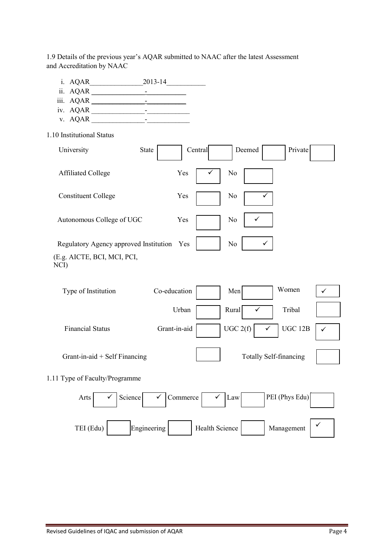1.9 Details of the previous year's AQAR submitted to NAAC after the latest Assessment and Accreditation by NAAC

- i. AQAR\_\_\_\_\_\_\_\_\_\_\_\_\_\_\_2013-14\_\_\_\_\_\_\_\_\_\_\_
- ii. AQAR \_\_\_\_\_\_\_\_\_\_\_\_\_\_\_-\_\_\_\_\_\_\_\_\_\_\_
- iii. AQAR \_\_\_\_\_\_\_\_\_\_\_\_\_\_\_-\_\_\_\_\_\_\_\_\_\_\_
- iv. AQAR \_\_\_\_\_\_\_\_\_\_\_\_\_\_\_-\_\_\_\_\_\_\_\_\_\_\_\_
- v. AQAR \_\_\_\_\_\_\_\_\_\_\_\_\_\_\_-\_\_\_\_\_\_\_\_\_\_\_\_
- 1.10 Institutional Status

| University                             | <b>State</b> | Central      |                       | Deemed                         | Private                       |              |
|----------------------------------------|--------------|--------------|-----------------------|--------------------------------|-------------------------------|--------------|
| <b>Affiliated College</b>              |              | Yes          |                       | N <sub>o</sub>                 |                               |              |
| <b>Constituent College</b>             |              | Yes          |                       | N <sub>0</sub>                 |                               |              |
| Autonomous College of UGC              |              | Yes          |                       | No<br>✓                        |                               |              |
| Regulatory Agency approved Institution |              | Yes          |                       | N <sub>o</sub><br>$\checkmark$ |                               |              |
| (E.g. AICTE, BCI, MCI, PCI,<br>NCI)    |              |              |                       |                                |                               |              |
| Type of Institution                    |              | Co-education |                       | Men                            | Women                         | $\checkmark$ |
|                                        |              | Urban        |                       | Rural                          | Tribal                        |              |
| <b>Financial Status</b>                |              | Grant-in-aid |                       | UGC 2(f)<br>$\checkmark$       | <b>UGC 12B</b>                | ✓            |
| Grant-in-aid $+$ Self Financing        |              |              |                       |                                | <b>Totally Self-financing</b> |              |
| 1.11 Type of Faculty/Programme         |              |              |                       |                                |                               |              |
| Arts                                   | Science<br>✓ | Commerce     |                       | Law                            | PEI (Phys Edu)                |              |
| TEI (Edu)                              | Engineering  |              | <b>Health Science</b> |                                | Management                    |              |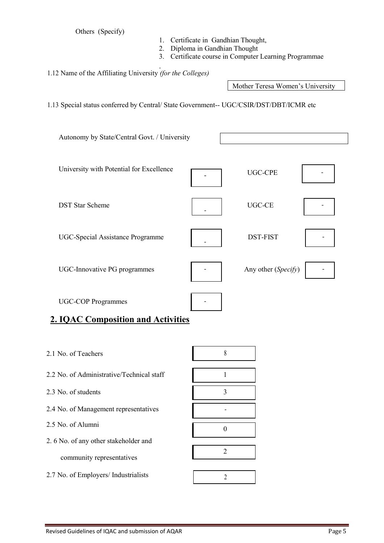Others (Specify)

- 1. Certificate in Gandhian Thought,
- 2. Diploma in Gandhian Thought
- 3. Certificate course in Computer Learning Programmae

1.12 Name of the Affiliating University *(for the Colleges)*

Mother Teresa Women's University

1.13 Special status conferred by Central/ State Government-- UGC/CSIR/DST/DBT/ICMR etc

University with Potential for Excellence  $\qquad \qquad \qquad$  UGC-CPE DST Star Scheme UGC-CE UGC-CE - -UGC-Special Assistance Programme  $DST-FIST$ UGC-Innovative PG programmes **Any other (***Specify*) Any other (*Specify*) UGC-COP Programmes Autonomy by State/Central Govt. / University

# **2. IQAC Composition and Activities**

2.1 No. of Teachers 8 2.2 No. of Administrative/Technical staff 1 2.3 No. of students 3 2.4 No. of Management representatives 2.5 No. of Alumni  $\overline{0}$ 2. 6 No. of any other stakeholder and community representatives 2

2.7 No. of Employers/ Industrialists 2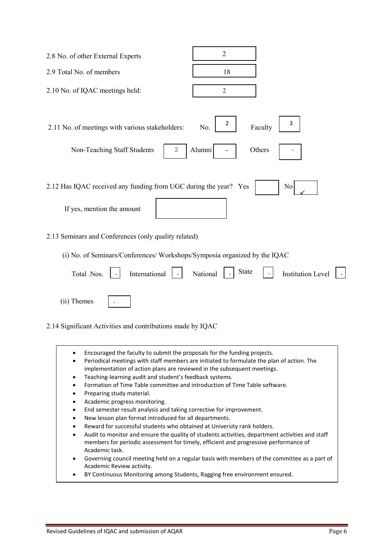| $\overline{2}$<br>2.8 No. of other External Experts                                                                                                                                                                                                                                                                                                                                                                                                                                                                                                                                                                                                                                                                                                                                                                                                                                                                                                                                                                                                                                                                                                        |
|------------------------------------------------------------------------------------------------------------------------------------------------------------------------------------------------------------------------------------------------------------------------------------------------------------------------------------------------------------------------------------------------------------------------------------------------------------------------------------------------------------------------------------------------------------------------------------------------------------------------------------------------------------------------------------------------------------------------------------------------------------------------------------------------------------------------------------------------------------------------------------------------------------------------------------------------------------------------------------------------------------------------------------------------------------------------------------------------------------------------------------------------------------|
| 2.9 Total No. of members<br>18                                                                                                                                                                                                                                                                                                                                                                                                                                                                                                                                                                                                                                                                                                                                                                                                                                                                                                                                                                                                                                                                                                                             |
| 2.10 No. of IQAC meetings held:<br>$\sqrt{2}$                                                                                                                                                                                                                                                                                                                                                                                                                                                                                                                                                                                                                                                                                                                                                                                                                                                                                                                                                                                                                                                                                                              |
| 2<br>3<br>2.11 No. of meetings with various stakeholders:<br>No.<br>Faculty                                                                                                                                                                                                                                                                                                                                                                                                                                                                                                                                                                                                                                                                                                                                                                                                                                                                                                                                                                                                                                                                                |
| Alumni<br>2<br>Others<br>Non-Teaching Staff Students                                                                                                                                                                                                                                                                                                                                                                                                                                                                                                                                                                                                                                                                                                                                                                                                                                                                                                                                                                                                                                                                                                       |
| 2.12 Has IQAC received any funding from UGC during the year? Yes<br>N <sub>0</sub><br>If yes, mention the amount                                                                                                                                                                                                                                                                                                                                                                                                                                                                                                                                                                                                                                                                                                                                                                                                                                                                                                                                                                                                                                           |
| 2.13 Seminars and Conferences (only quality related)<br>(i) No. of Seminars/Conferences/ Workshops/Symposia organized by the IQAC                                                                                                                                                                                                                                                                                                                                                                                                                                                                                                                                                                                                                                                                                                                                                                                                                                                                                                                                                                                                                          |
| <b>State</b><br>International<br>Total .Nos.<br>National<br><b>Institution Level</b>                                                                                                                                                                                                                                                                                                                                                                                                                                                                                                                                                                                                                                                                                                                                                                                                                                                                                                                                                                                                                                                                       |
| (ii) Themes                                                                                                                                                                                                                                                                                                                                                                                                                                                                                                                                                                                                                                                                                                                                                                                                                                                                                                                                                                                                                                                                                                                                                |
| 2.14 Significant Activities and contributions made by IQAC                                                                                                                                                                                                                                                                                                                                                                                                                                                                                                                                                                                                                                                                                                                                                                                                                                                                                                                                                                                                                                                                                                 |
| Encouraged the faculty to submit the proposals for the funding projects.<br>٠<br>Periodical meetings with staff members are initiated to formulate the plan of action. The<br>٠<br>implementation of action plans are reviewed in the subsequent meetings.<br>Teaching-learning audit and student's feedback systems.<br>٠<br>Formation of Time Table committee and introduction of Time Table software.<br>٠<br>Preparing study material.<br>٠<br>Academic progress monitoring.<br>٠<br>End semester result analysis and taking corrective for improvement.<br>٠<br>New lesson plan format introduced for all departments.<br>٠<br>Reward for successful students who obtained at University rank holders.<br>٠<br>Audit to monitor and ensure the quality of students activities, department activities and staff<br>$\bullet$<br>members for periodic assessment for timely, efficient and progressive performance of<br>Academic task.<br>Governing council meeting held on a regular basis with members of the committee as a part of<br>٠<br>Academic Review activity.<br>BY Continuous Monitoring among Students, Ragging free environment ensured. |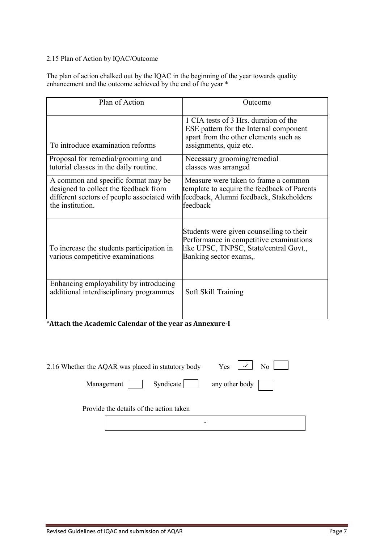## 2.15 Plan of Action by IQAC/Outcome

The plan of action chalked out by the IQAC in the beginning of the year towards quality enhancement and the outcome achieved by the end of the year \*

| Plan of Action                                                                                                                                                                          | Outcome                                                                                                                                                 |
|-----------------------------------------------------------------------------------------------------------------------------------------------------------------------------------------|---------------------------------------------------------------------------------------------------------------------------------------------------------|
| To introduce examination reforms                                                                                                                                                        | 1 CIA tests of 3 Hrs. duration of the<br>ESE pattern for the Internal component<br>apart from the other elements such as<br>assignments, quiz etc.      |
| Proposal for remedial/grooming and<br>tutorial classes in the daily routine.                                                                                                            | Necessary grooming/remedial<br>classes was arranged                                                                                                     |
| A common and specific format may be<br>designed to collect the feedback from<br>different sectors of people associated with feedback, Alumni feedback, Stakeholders<br>the institution. | Measure were taken to frame a common<br>template to acquire the feedback of Parents<br>feedback                                                         |
| To increase the students participation in<br>various competitive examinations                                                                                                           | Students were given counselling to their<br>Performance in competitive examinations<br>like UPSC, TNPSC, State/central Govt.,<br>Banking sector exams,. |
| Enhancing employability by introducing<br>additional interdisciplinary programmes                                                                                                       | Soft Skill Training                                                                                                                                     |

\***Attach the Academic Calendar of the year as Annexure-I**

| 2.16 Whether the AQAR was placed in statutory body | $\sim$   No  <br>Yes   |
|----------------------------------------------------|------------------------|
| Management   Syndicate                             | any other body $\vert$ |
| Provide the details of the action taken            |                        |
| -                                                  |                        |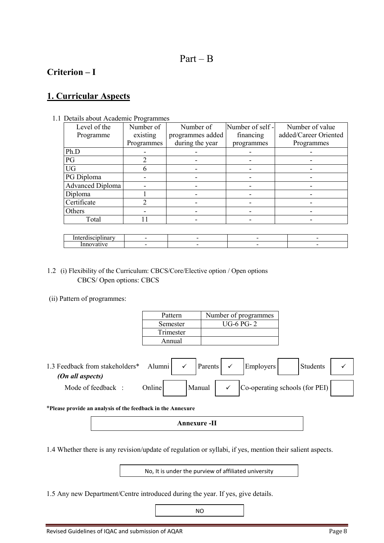# $Part - B$

# **Criterion – I**

# **1. Curricular Aspects**

1.1 Details about Academic Programmes

| Level of the            | Number of      | Number of        | Number of self - | Number of value       |
|-------------------------|----------------|------------------|------------------|-----------------------|
| Programme               | existing       | programmes added | financing        | added/Career Oriented |
|                         | Programmes     | during the year  | programmes       | Programmes            |
| Ph.D                    |                |                  |                  |                       |
| PG                      | 2              |                  |                  |                       |
| <b>UG</b>               | 6              |                  |                  |                       |
| PG Diploma              |                |                  |                  |                       |
| <b>Advanced Diploma</b> |                |                  |                  |                       |
| Diploma                 |                |                  |                  |                       |
| Certificate             | $\mathfrak{D}$ |                  |                  |                       |
| Others                  |                |                  |                  |                       |
| Total                   | 11             |                  |                  |                       |
|                         |                |                  |                  |                       |
| Interdisciplinary       |                |                  |                  |                       |

|  | - | $\overline{\phantom{a}}$ | $\overline{\phantom{a}}$ |
|--|---|--------------------------|--------------------------|
|  |   |                          |                          |

- 1.2 (i) Flexibility of the Curriculum: CBCS/Core/Elective option / Open options CBCS/ Open options: CBCS
- (ii) Pattern of programmes:

| Pattern   | Number of programmes |
|-----------|----------------------|
| Semester  | <b>UG-6 PG-2</b>     |
| Trimester |                      |
| Annual    |                      |

| 1.3 Feedback from stakeholders* | Alumni        | Parents | <b>Employers</b>               | Students |  |
|---------------------------------|---------------|---------|--------------------------------|----------|--|
| (On all aspects)                |               |         |                                |          |  |
| Mode of feedback:               | <b>Online</b> | Manual  | Co-operating schools (for PEI) |          |  |

\***Please provide an analysis of the feedback in the Annexure**

**Annexure -II**

1.4 Whether there is any revision/update of regulation or syllabi, if yes, mention their salient aspects.

No, It is under the purview of affiliated university

1.5 Any new Department/Centre introduced during the year. If yes, give details.

NO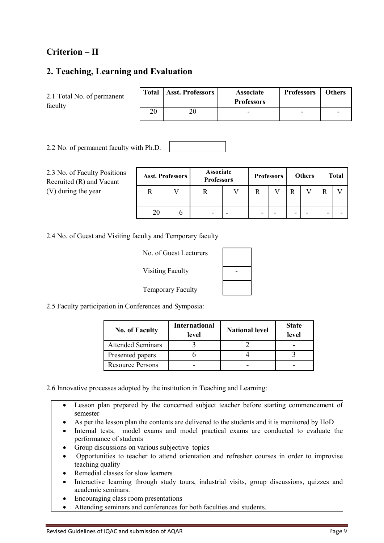# **Criterion – II**

# **2. Teaching, Learning and Evaluation**

| 2.1 Total No. of permanent<br>faculty |    | Total   Asst. Professors | <b>Associate</b><br><b>Professors</b> | <b>Professors</b>        | <b>Others</b> |
|---------------------------------------|----|--------------------------|---------------------------------------|--------------------------|---------------|
|                                       | 20 | 20                       | -                                     | $\overline{\phantom{0}}$ | -             |

2.2 No. of permanent faculty with Ph.D.

2.3 No. of Faculty Positions Recruited (R) and Vacant (V) during the year

|    | <b>Asst. Professors</b> |   | Associate<br><b>Professors</b> |   | <b>Professors</b> |   | <b>Others</b> |   | <b>Total</b> |
|----|-------------------------|---|--------------------------------|---|-------------------|---|---------------|---|--------------|
|    |                         |   |                                |   |                   |   |               |   |              |
| 20 |                         | - | -                              | - |                   | - |               | - |              |

2.4 No. of Guest and Visiting faculty and Temporary faculty

| No. of Guest Lecturers   |  |
|--------------------------|--|
| <b>Visiting Faculty</b>  |  |
| <b>Temporary Faculty</b> |  |

2.5 Faculty participation in Conferences and Symposia:

| <b>No. of Faculty</b>    | <b>International</b><br>level | <b>National level</b> | <b>State</b><br>level |
|--------------------------|-------------------------------|-----------------------|-----------------------|
| <b>Attended Seminars</b> |                               |                       |                       |
| Presented papers         |                               |                       |                       |
| <b>Resource Persons</b>  |                               |                       |                       |

2.6 Innovative processes adopted by the institution in Teaching and Learning:

- Lesson plan prepared by the concerned subject teacher before starting commencement of semester
- As per the lesson plan the contents are delivered to the students and it is monitored by HoD
- Internal tests, model exams and model practical exams are conducted to evaluate the performance of students
- Group discussions on various subjective topics
- Opportunities to teacher to attend orientation and refresher courses in order to improvise teaching quality
- Remedial classes for slow learners
- Interactive learning through study tours, industrial visits, group discussions, quizzes and academic seminars.
- Encouraging class room presentations
- Attending seminars and conferences for both faculties and students.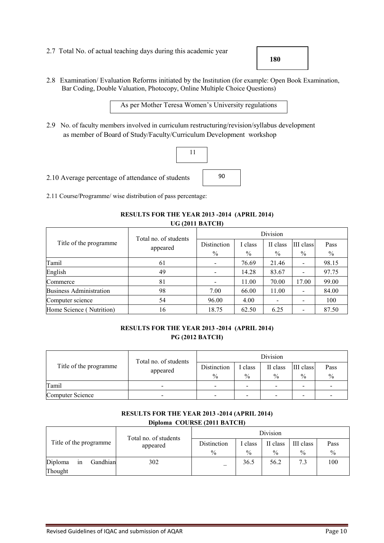2.7 Total No. of actual teaching days during this academic year

**180**

2.8 Examination/ Evaluation Reforms initiated by the Institution (for example: Open Book Examination, Bar Coding, Double Valuation, Photocopy, Online Multiple Choice Questions)

As per Mother Teresa Women's University regulations

2.9 No. of faculty members involved in curriculum restructuring/revision/syllabus development as member of Board of Study/Faculty/Curriculum Development workshop



2.11 Course/Programme/ wise distribution of pass percentage:

#### **RESULTS FOR THE YEAR 2013 -2014 (APRIL 2014) UG (2011 BATCH)**

|                                | Total no. of students | Division    |         |          |           |       |  |
|--------------------------------|-----------------------|-------------|---------|----------|-----------|-------|--|
| Title of the programme.        | appeared              | Distinction | I class | II class | III class | Pass  |  |
|                                |                       | $\%$        | $\%$    | $\%$     | $\%$      | $\%$  |  |
| Tamil                          | 61                    |             | 76.69   | 21.46    |           | 98.15 |  |
| English                        | 49                    |             | 14.28   | 83.67    |           | 97.75 |  |
| Commerce                       | 81                    |             | 11.00   | 70.00    | 17.00     | 99.00 |  |
| <b>Business Administration</b> | 98                    | 7.00        | 66.00   | 11.00    |           | 84.00 |  |
| Computer science               | 54                    | 96.00       | 4.00    |          |           | 100   |  |
| Home Science (Nutrition)       | 16                    | 18.75       | 62.50   | 6.25     |           | 87.50 |  |

#### **RESULTS FOR THE YEAR 2013 -2014 (APRIL 2014) PG (2012 BATCH)**

|                                   | Total no. of students | Division                     |                          |                           |                          |                          |  |
|-----------------------------------|-----------------------|------------------------------|--------------------------|---------------------------|--------------------------|--------------------------|--|
| Title of the programme            | appeared              | Distinction<br>$\frac{0}{0}$ | class<br>$\%$            | II class<br>$\frac{0}{0}$ | III class<br>$\%$        | Pass<br>$\frac{0}{0}$    |  |
| Tamil<br>$\overline{\phantom{0}}$ |                       |                              | $\overline{\phantom{0}}$ | $\overline{\phantom{0}}$  | ۰                        | $\overline{\phantom{a}}$ |  |
| Computer Science                  |                       |                              |                          | -                         | $\overline{\phantom{a}}$ | -                        |  |

#### **RESULTS FOR THE YEAR 2013 -2014 (APRIL 2014) Diploma COURSE (2011 BATCH)**

| Title of the programme |                |          |                                   | Division                     |               |                           |                            |              |
|------------------------|----------------|----------|-----------------------------------|------------------------------|---------------|---------------------------|----------------------------|--------------|
|                        |                |          | Total no. of students<br>appeared | Distinction<br>$\frac{0}{0}$ | class<br>$\%$ | II class<br>$\frac{0}{0}$ | III class<br>$\frac{0}{0}$ | Pass<br>$\%$ |
| Diploma<br>Thought     | <sub>1</sub> n | Gandhian | 302                               | _                            | 36.5          | 56.2                      | 7.3                        | 100          |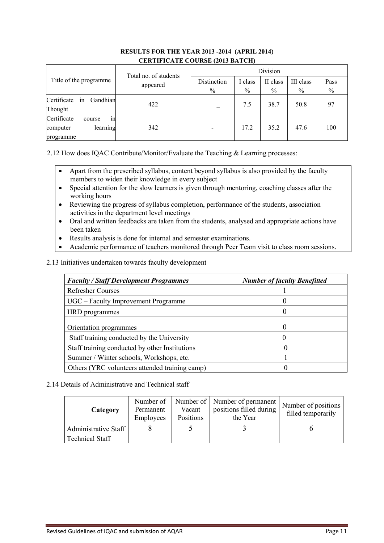|                               | CERTH TORTE COURSE (2013 BATCH) |             |       |          |           |      |  |
|-------------------------------|---------------------------------|-------------|-------|----------|-----------|------|--|
|                               | Total no. of students           | Division    |       |          |           |      |  |
| Title of the programme        | appeared                        | Distinction | class | II class | III class | Pass |  |
|                               |                                 | $\%$        | $\%$  | $\%$     | $\%$      | $\%$ |  |
| Certificate<br>Gandhian<br>in | 422                             |             | 7.5   | 38.7     | 50.8      | 97   |  |
| Thought                       |                                 |             |       |          |           |      |  |
| Certificate<br>course<br>1n   |                                 |             |       |          |           |      |  |
| learning<br>computer          | 342                             |             | 17.2  | 35.2     | 47.6      | 100  |  |
| programme                     |                                 |             |       |          |           |      |  |

#### **RESULTS FOR THE YEAR 2013 -2014 (APRIL 2014) CERTIFICATE COURSE (2013 BATCH)**

2.12 How does IQAC Contribute/Monitor/Evaluate the Teaching & Learning processes:

- Apart from the prescribed syllabus, content beyond syllabus is also provided by the faculty members to widen their knowledge in every subject
- Special attention for the slow learners is given through mentoring, coaching classes after the working hours
- Reviewing the progress of syllabus completion, performance of the students, association activities in the department level meetings
- Oral and written feedbacks are taken from the students, analysed and appropriate actions have been taken
- Results analysis is done for internal and semester examinations.
- Academic performance of teachers monitored through Peer Team visit to class room sessions.

#### 2.13 Initiatives undertaken towards faculty development

| <b>Faculty / Staff Development Programmes</b>  | <b>Number of faculty Benefitted</b> |
|------------------------------------------------|-------------------------------------|
| <b>Refresher Courses</b>                       |                                     |
| UGC – Faculty Improvement Programme            |                                     |
| HRD programmes                                 |                                     |
| Orientation programmes                         |                                     |
| Staff training conducted by the University     |                                     |
| Staff training conducted by other Institutions | O                                   |
| Summer / Winter schools, Workshops, etc.       |                                     |
| Others (YRC volunteers attended training camp) |                                     |

### 2.14 Details of Administrative and Technical staff

| Category               | Number of<br>Permanent<br>Employees | Vacant<br>Positions | Number of Number of permanent<br>positions filled during<br>the Year | Number of positions<br>filled temporarily |
|------------------------|-------------------------------------|---------------------|----------------------------------------------------------------------|-------------------------------------------|
| Administrative Staff   |                                     |                     |                                                                      |                                           |
| <b>Technical Staff</b> |                                     |                     |                                                                      |                                           |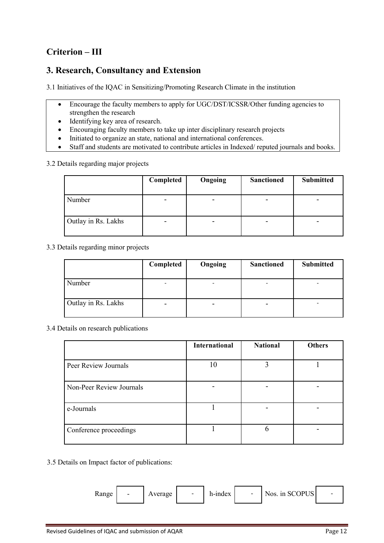# **Criterion – III**

# **3. Research, Consultancy and Extension**

3.1 Initiatives of the IQAC in Sensitizing/Promoting Research Climate in the institution

- Encourage the faculty members to apply for UGC/DST/ICSSR/Other funding agencies to strengthen the research
- Identifying key area of research.
- Encouraging faculty members to take up inter disciplinary research projects
- Initiated to organize an state, national and international conferences.
- Staff and students are motivated to contribute articles in Indexed/ reputed journals and books.

3.2 Details regarding major projects

|                     | Completed                | Ongoing | <b>Sanctioned</b>        | <b>Submitted</b> |
|---------------------|--------------------------|---------|--------------------------|------------------|
| Number              | $\overline{\phantom{0}}$ | -       | $\qquad \qquad$          | -                |
| Outlay in Rs. Lakhs | $\overline{\phantom{0}}$ |         | $\overline{\phantom{a}}$ |                  |

3.3 Details regarding minor projects

|                     | Completed | Ongoing                  | <b>Sanctioned</b> | <b>Submitted</b> |
|---------------------|-----------|--------------------------|-------------------|------------------|
| Number              |           | -                        |                   |                  |
| Outlay in Rs. Lakhs | -         | $\overline{\phantom{0}}$ | -                 |                  |

3.4 Details on research publications

|                          | <b>International</b> | <b>National</b> | <b>Others</b> |
|--------------------------|----------------------|-----------------|---------------|
| Peer Review Journals     | 10                   |                 |               |
| Non-Peer Review Journals |                      |                 |               |
| e-Journals               |                      |                 |               |
| Conference proceedings   |                      | h               |               |

3.5 Details on Impact factor of publications:

| Range | $\overline{\phantom{0}}$ | Average | $\overline{\phantom{0}}$ | h-index |  | Nos. in SCOPUS |  |
|-------|--------------------------|---------|--------------------------|---------|--|----------------|--|
|-------|--------------------------|---------|--------------------------|---------|--|----------------|--|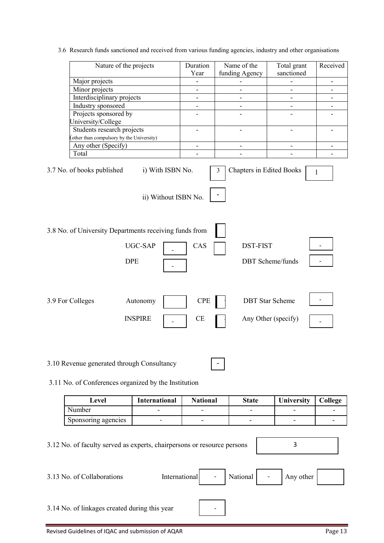3.6 Research funds sanctioned and received from various funding agencies, industry and other organisations

| Nature of the projects                                                                                                                                                                                                                                                                                                                                                                    |                          | Duration<br>Year         | Name of the<br>funding Agency | Total grant<br>sanctioned    | Received                 |  |  |  |  |
|-------------------------------------------------------------------------------------------------------------------------------------------------------------------------------------------------------------------------------------------------------------------------------------------------------------------------------------------------------------------------------------------|--------------------------|--------------------------|-------------------------------|------------------------------|--------------------------|--|--|--|--|
| Major projects                                                                                                                                                                                                                                                                                                                                                                            |                          | $\overline{\phantom{m}}$ | -                             | $\overline{\phantom{0}}$     | $\overline{\phantom{0}}$ |  |  |  |  |
| Minor projects                                                                                                                                                                                                                                                                                                                                                                            |                          | $\overline{\phantom{m}}$ | $\overline{\phantom{0}}$      |                              | -                        |  |  |  |  |
| Interdisciplinary projects                                                                                                                                                                                                                                                                                                                                                                |                          | $\overline{\phantom{a}}$ | $\overline{\phantom{0}}$      | $\overline{\phantom{0}}$     | -                        |  |  |  |  |
| Industry sponsored                                                                                                                                                                                                                                                                                                                                                                        |                          | $\overline{\phantom{a}}$ | $\qquad \qquad \blacksquare$  | $\qquad \qquad \blacksquare$ | $\overline{\phantom{0}}$ |  |  |  |  |
| Projects sponsored by                                                                                                                                                                                                                                                                                                                                                                     |                          |                          | $\overline{\phantom{0}}$      |                              |                          |  |  |  |  |
| University/College                                                                                                                                                                                                                                                                                                                                                                        |                          |                          |                               |                              |                          |  |  |  |  |
| Students research projects                                                                                                                                                                                                                                                                                                                                                                |                          | $\overline{\phantom{m}}$ | $\overline{\phantom{a}}$      | $\qquad \qquad \blacksquare$ | -                        |  |  |  |  |
| other than compulsory by the University)                                                                                                                                                                                                                                                                                                                                                  |                          |                          |                               |                              |                          |  |  |  |  |
| Any other (Specify)                                                                                                                                                                                                                                                                                                                                                                       |                          | $\overline{\phantom{m}}$ | $\overline{\phantom{a}}$      | $\overline{\phantom{0}}$     | $\overline{\phantom{0}}$ |  |  |  |  |
| Total                                                                                                                                                                                                                                                                                                                                                                                     |                          |                          |                               |                              |                          |  |  |  |  |
| 3.7 No. of books published<br>i) With ISBN No.<br><b>Chapters in Edited Books</b><br>3<br>1<br>ii) Without ISBN No.<br>3.8 No. of University Departments receiving funds from<br>UGC-SAP<br>CAS<br><b>DST-FIST</b><br><b>DBT</b> Scheme/funds<br><b>DPE</b><br><b>CPE</b><br><b>DBT</b> Star Scheme<br>3.9 For Colleges<br>Autonomy<br><b>INSPIRE</b><br>Any Other (specify)<br><b>CE</b> |                          |                          |                               |                              |                          |  |  |  |  |
| 3.10 Revenue generated through Consultancy<br>3.11 No. of Conferences organized by the Institution                                                                                                                                                                                                                                                                                        |                          |                          |                               |                              |                          |  |  |  |  |
| Level                                                                                                                                                                                                                                                                                                                                                                                     | International            | <b>National</b>          | <b>State</b>                  | University                   | College                  |  |  |  |  |
| Number                                                                                                                                                                                                                                                                                                                                                                                    |                          |                          |                               |                              |                          |  |  |  |  |
| Sponsoring agencies                                                                                                                                                                                                                                                                                                                                                                       | $\overline{\phantom{a}}$ |                          | $\qquad \qquad \blacksquare$  |                              |                          |  |  |  |  |
| 3.12 No. of faculty served as experts, chairpersons or resource persons<br>3.13 No. of Collaborations                                                                                                                                                                                                                                                                                     | International            |                          | National                      | 3<br>Any other               |                          |  |  |  |  |
|                                                                                                                                                                                                                                                                                                                                                                                           |                          |                          |                               |                              |                          |  |  |  |  |

3.14 No. of linkages created during this year -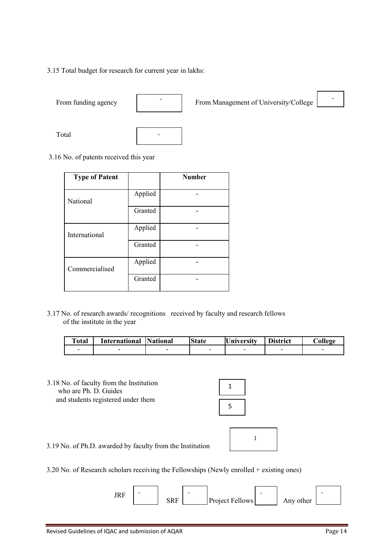3.15 Total budget for research for current year in lakhs:







### 3.16 No. of patents received this year

| <b>Type of Patent</b> |         | <b>Number</b> |
|-----------------------|---------|---------------|
| National              | Applied |               |
|                       | Granted |               |
| International         | Applied |               |
|                       | Granted |               |
| Commercialised        | Applied |               |
|                       | Granted |               |

3.17 No. of research awards/ recognitions received by faculty and research fellows of the institute in the year

| <b>Total</b> | International | <b>National</b> | <b>State</b> | <b>University</b> | <b>District</b> | College |
|--------------|---------------|-----------------|--------------|-------------------|-----------------|---------|
|              |               |                 |              |                   |                 |         |

3.18 No. of faculty from the Institution<br>who are Ph. D. Guides and students registered under them

| 1 |  |
|---|--|
|   |  |
| 5 |  |



3.19 No. of Ph.D. awarded by faculty from the Institution

3.20 No. of Research scholars receiving the Fellowships (Newly enrolled + existing ones)

JRF SRF Project Fellows Any other - - - -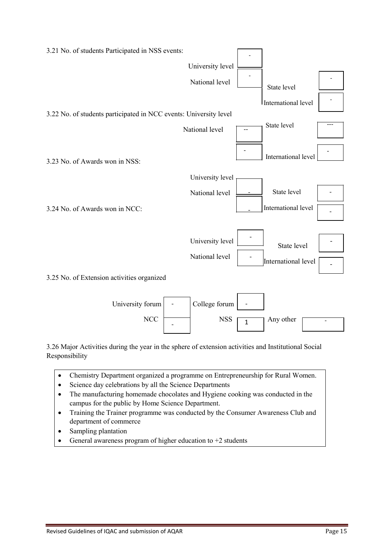

3.26 Major Activities during the year in the sphere of extension activities and Institutional Social Responsibility

- Chemistry Department organized a programme on Entrepreneurship for Rural Women.
- Science day celebrations by all the Science Departments
- The manufacturing homemade chocolates and Hygiene cooking was conducted in the campus for the public by Home Science Department.
- Training the Trainer programme was conducted by the Consumer Awareness Club and department of commerce
- Sampling plantation
- General awareness program of higher education to +2 students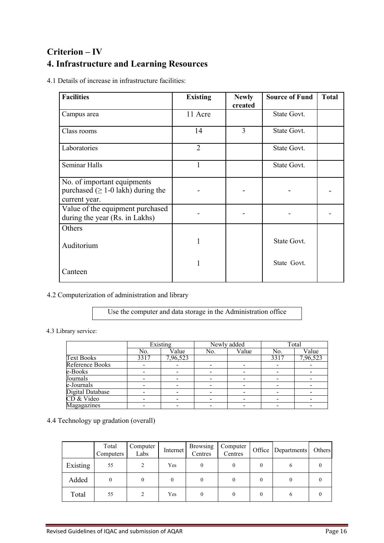# **Criterion – IV 4. Infrastructure and Learning Resources**

4.1 Details of increase in infrastructure facilities:

| <b>Facilities</b>                                                                        | <b>Existing</b> | <b>Newly</b><br>created | <b>Source of Fund</b> | <b>Total</b> |
|------------------------------------------------------------------------------------------|-----------------|-------------------------|-----------------------|--------------|
| Campus area                                                                              | 11 Acre         |                         | State Govt.           |              |
| Class rooms                                                                              | 14              | 3                       | State Govt.           |              |
| Laboratories                                                                             | $\overline{2}$  |                         | State Govt.           |              |
| Seminar Halls                                                                            |                 |                         | State Govt.           |              |
| No. of important equipments<br>purchased ( $\geq 1$ -0 lakh) during the<br>current year. |                 |                         |                       |              |
| Value of the equipment purchased<br>during the year (Rs. in Lakhs)                       |                 |                         |                       |              |
| Others                                                                                   |                 |                         |                       |              |
| Auditorium                                                                               |                 |                         | State Govt.           |              |
| Canteen                                                                                  |                 |                         | State Govt.           |              |

4.2 Computerization of administration and library

Use the computer and data storage in the Administration office

### 4.3 Library service:

|                         | $\overline{\text{Existing}}$ |          | Newly added |       | Total |          |
|-------------------------|------------------------------|----------|-------------|-------|-------|----------|
|                         | No.                          | Value    | No.         | Value | No.   | Value    |
| <b>Text Books</b>       | 3317                         | 7,96,523 |             |       | 3317  | 7,96,523 |
| <b>Reference Books</b>  |                              |          |             |       |       |          |
| e-Books                 |                              |          |             |       |       |          |
| Journals                |                              |          |             |       |       |          |
| e-Journals              |                              |          |             |       |       |          |
| <b>Digital Database</b> |                              |          |             |       |       |          |
| CD & Video              |                              |          |             |       |       |          |
| Magagazines             |                              |          |             |       |       |          |

# 4.4 Technology up gradation (overall)

|          | Total<br>Computers | Computer<br>Labs | Internet | <b>Browsing</b><br>Centres | Computer<br>Centres | Office   Departments | Others |
|----------|--------------------|------------------|----------|----------------------------|---------------------|----------------------|--------|
| Existing | 55                 | 2                | Yes      |                            |                     | o                    |        |
| Added    | 0                  |                  |          |                            |                     |                      |        |
| Total    | 55                 |                  | Yes      |                            |                     |                      |        |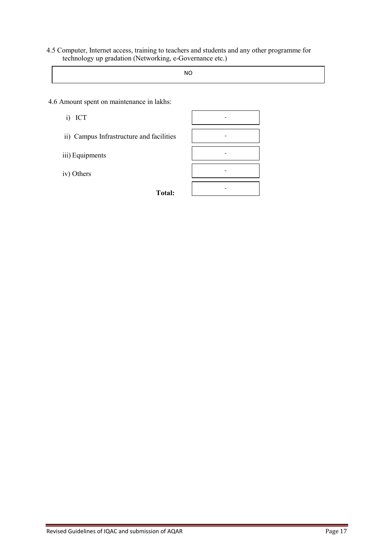4.5 Computer, Internet access, training to teachers and students and any other programme for technology up gradation (Networking, e-Governance etc.)

NO

- 4.6 Amount spent on maintenance in lakhs:
	- i) ICT
	- ii) Campus Infrastructure and facilities
	- iii) Equipments
	- iv) Others

**Total:**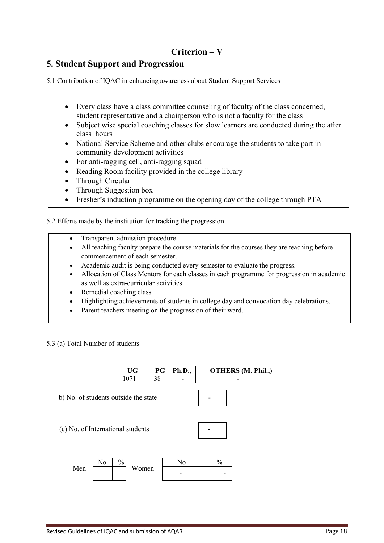# **Criterion – V**

# **5. Student Support and Progression**

5.1 Contribution of IQAC in enhancing awareness about Student Support Services

- Every class have a class committee counseling of faculty of the class concerned, student representative and a chairperson who is not a faculty for the class
- Subject wise special coaching classes for slow learners are conducted during the after class hours
- National Service Scheme and other clubs encourage the students to take part in community development activities
- For anti-ragging cell, anti-ragging squad
- Reading Room facility provided in the college library
- Through Circular
- Through Suggestion box
- Fresher's induction programme on the opening day of the college through PTA

5.2 Efforts made by the institution for tracking the progression

- Transparent admission procedure
- All teaching faculty prepare the course materials for the courses they are teaching before commencement of each semester.
- Academic audit is being conducted every semester to evaluate the progress.
- Allocation of Class Mentors for each classes in each programme for progression in academic as well as extra-curricular activities.
- Remedial coaching class
- Highlighting achievements of students in college day and convocation day celebrations.
- Parent teachers meeting on the progression of their ward.

5.3 (a) Total Number of students

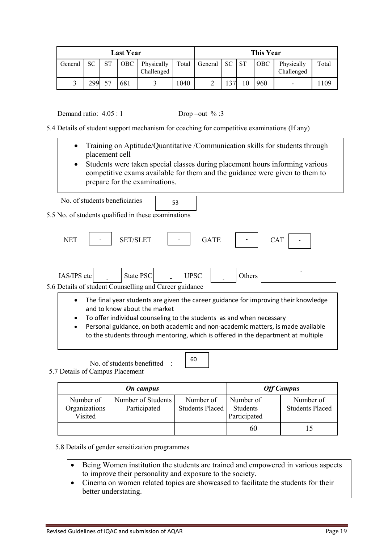| <b>Last Year</b> |     |             |            |                          |       | This Year  |      |            |                          |       |
|------------------|-----|-------------|------------|--------------------------|-------|------------|------|------------|--------------------------|-------|
| General          | SС  | $_{\rm CT}$ | <b>OBC</b> | Physically<br>Challenged | Total | General SC | . ST | <b>OBC</b> | Physically<br>Challenged | Total |
|                  | 299 | 57          | 681        |                          | .040  |            |      | 960        | -                        | 109   |

Demand ratio:  $4.05 : 1$  Drop –out % :3

5.4 Details of student support mechanism for coaching for competitive examinations (If any)

- Training on Aptitude/Quantitative /Communication skills for students through placement cell
- Students were taken special classes during placement hours informing various competitive exams available for them and the guidance were given to them to prepare for the examinations.

| No. of students beneficiaries |  |
|-------------------------------|--|
|-------------------------------|--|

5.5 No. of students qualified in these examinations

| <b>NET</b>                          | <b>SET/SLET</b>                                                                                      |             | <b>GATE</b> |        | <b>CAT</b>                                                                                                                                                                                                                                                  |
|-------------------------------------|------------------------------------------------------------------------------------------------------|-------------|-------------|--------|-------------------------------------------------------------------------------------------------------------------------------------------------------------------------------------------------------------------------------------------------------------|
| IAS/IPS etc                         | State PSC<br>5.6 Details of student Counselling and Career guidance                                  | <b>UPSC</b> |             | Others |                                                                                                                                                                                                                                                             |
| $\bullet$<br>$\bullet$<br>$\bullet$ | and to know about the market<br>To offer individual counseling to the students as and when necessary |             |             |        | The final year students are given the career guidance for improving their knowledge<br>Personal guidance, on both academic and non-academic matters, is made available<br>to the students through mentoring, which is offered in the department at multiple |

No. of students benefitted :

5.7 Details of Campus Placement

|                                       | <b>On</b> campus                   | <b>Off Campus</b>            |                                       |                                     |
|---------------------------------------|------------------------------------|------------------------------|---------------------------------------|-------------------------------------|
| Number of<br>Organizations<br>Visited | Number of Students<br>Participated | Number of<br>Students Placed | Number of<br>Students<br>Participated | Number of<br><b>Students Placed</b> |
|                                       |                                    |                              | 60                                    |                                     |

5.8 Details of gender sensitization programmes

- Being Women institution the students are trained and empowered in various aspects to improve their personality and exposure to the society.
- Cinema on women related topics are showcased to facilitate the students for their better understating.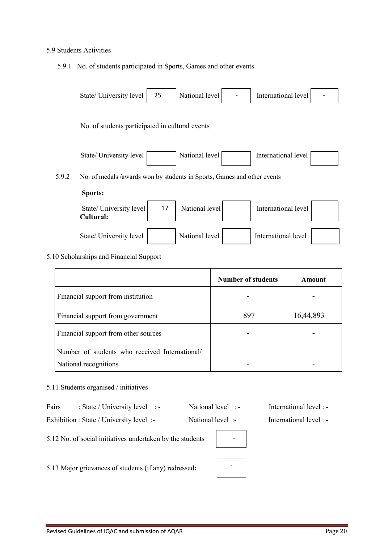#### 5.9 Students Activities

5.9.1 No. of students participated in Sports, Games and other events



|                                                                         | <b>Number of students</b> | Amount    |
|-------------------------------------------------------------------------|---------------------------|-----------|
| Financial support from institution                                      |                           |           |
| Financial support from government                                       | 897                       | 16,44,893 |
| Financial support from other sources                                    |                           |           |
| Number of students who received International/<br>National recognitions |                           |           |

#### 5.11 Students organised / initiatives

| Fairs | . State / University level |  | National level. | International level : - |
|-------|----------------------------|--|-----------------|-------------------------|
|-------|----------------------------|--|-----------------|-------------------------|

Exhibition : State / University level :- National level :- International level :-

| - |  |
|---|--|
|   |  |
|   |  |

5.12 No. of social initiatives undertaken by the students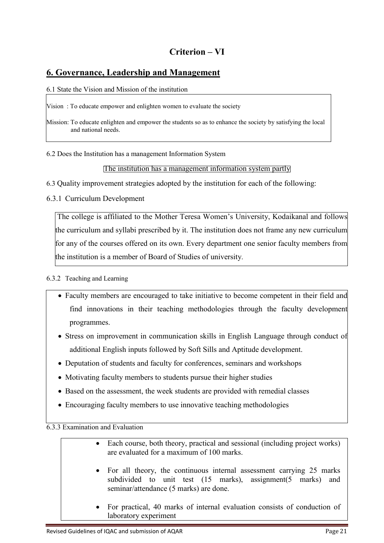# **Criterion – VI**

# **6. Governance, Leadership and Management**

6.1 State the Vision and Mission of the institution

Vision : To educate empower and enlighten women to evaluate the society

Mission: To educate enlighten and empower the students so as to enhance the society by satisfying the local and national needs.

6.2 Does the Institution has a management Information System

### The institution has a management information system partly

6.3 Quality improvement strategies adopted by the institution for each of the following:

6.3.1 Curriculum Development

The college is affiliated to the Mother Teresa Women's University, Kodaikanal and follows the curriculum and syllabi prescribed by it. The institution does not frame any new curriculum for any of the courses offered on its own. Every department one senior faculty members from the institution is a member of Board of Studies of university.

## 6.3.2 Teaching and Learning

- Faculty members are encouraged to take initiative to become competent in their field and find innovations in their teaching methodologies through the faculty development programmes.
- Stress on improvement in communication skills in English Language through conduct of additional English inputs followed by Soft Sills and Aptitude development.
- Deputation of students and faculty for conferences, seminars and workshops
- Motivating faculty members to students pursue their higher studies
- Based on the assessment, the week students are provided with remedial classes
- Encouraging faculty members to use innovative teaching methodologies

6.3.3 Examination and Evaluation

| • Each course, both theory, practical and sessional (including project works)<br>are evaluated for a maximum of 100 marks.                                                      |
|---------------------------------------------------------------------------------------------------------------------------------------------------------------------------------|
| • For all theory, the continuous internal assessment carrying 25 marks<br>subdivided to unit test (15 marks), assignment(5 marks) and<br>seminar/attendance (5 marks) are done. |
| • For practical, 40 marks of internal evaluation consists of conduction of<br>laboratory experiment                                                                             |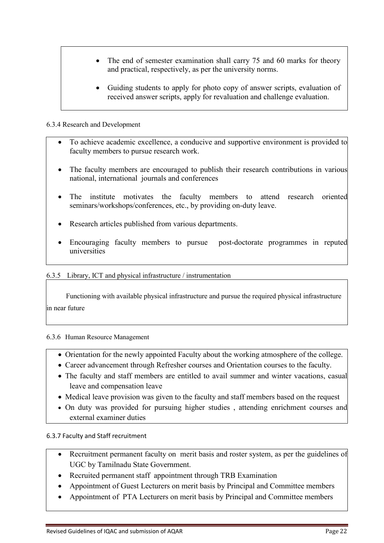- The end of semester examination shall carry 75 and 60 marks for theory and practical, respectively, as per the university norms.
- Guiding students to apply for photo copy of answer scripts, evaluation of received answer scripts, apply for revaluation and challenge evaluation.

## 6.3.4 Research and Development

- To achieve academic excellence, a conducive and supportive environment is provided to faculty members to pursue research work.
- The faculty members are encouraged to publish their research contributions in various national, international journals and conferences
- The institute motivates the faculty members to attend research oriented seminars/workshops/conferences, etc., by providing on-duty leave.
- Research articles published from various departments.
- Encouraging faculty members to pursue post-doctorate programmes in reputed universities

### 6.3.5 Library, ICT and physical infrastructure / instrumentation

 Functioning with available physical infrastructure and pursue the required physical infrastructure .<br>in near future

### 6.3.6 Human Resource Management

- Orientation for the newly appointed Faculty about the working atmosphere of the college.
- Career advancement through Refresher courses and Orientation courses to the faculty.
- The faculty and staff members are entitled to avail summer and winter vacations, casual leave and compensation leave
- Medical leave provision was given to the faculty and staff members based on the request
- On duty was provided for pursuing higher studies , attending enrichment courses and external examiner duties

### 6.3.7 Faculty and Staff recruitment

- Recruitment permanent faculty on merit basis and roster system, as per the guidelines of UGC by Tamilnadu State Government.
- Recruited permanent staff appointment through TRB Examination
- Appointment of Guest Lecturers on merit basis by Principal and Committee members
- Appointment of PTA Lecturers on merit basis by Principal and Committee members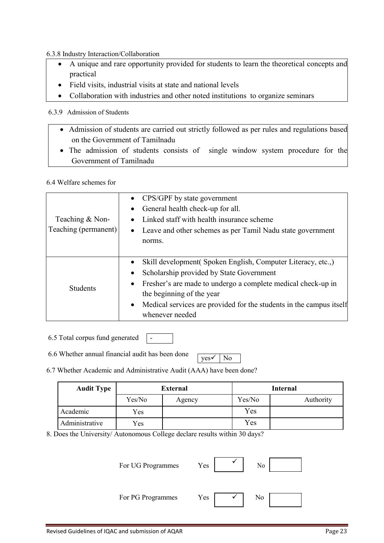6.3.8 Industry Interaction/Collaboration

- A unique and rare opportunity provided for students to learn the theoretical concepts and practical
- Field visits, industrial visits at state and national levels
- Collaboration with industries and other noted institutions to organize seminars

## 6.3.9 Admission of Students

- Admission of students are carried out strictly followed as per rules and regulations based on the Government of Tamilnadu
- The admission of students consists of single window system procedure for the Government of Tamilnadu

6.4 Welfare schemes for

|                      | • CPS/GPF by state government                                             |
|----------------------|---------------------------------------------------------------------------|
|                      | General health check-up for all.<br>٠                                     |
| Teaching & Non-      | Linked staff with health insurance scheme<br>$\bullet$                    |
| Teaching (permanent) | • Leave and other schemes as per Tamil Nadu state government              |
|                      | norms.                                                                    |
|                      |                                                                           |
|                      | Skill development (Spoken English, Computer Literacy, etc.,)<br>$\bullet$ |
|                      | Scholarship provided by State Government<br>$\bullet$                     |
| <b>Students</b>      | Fresher's are made to undergo a complete medical check-up in<br>$\bullet$ |
|                      | the beginning of the year                                                 |
|                      | • Medical services are provided for the students in the campus itself     |
|                      | whenever needed                                                           |

6.5 Total corpus fund generated

6.6 Whether annual financial audit has been done

 $ves \checkmark$  No

6.7 Whether Academic and Administrative Audit (AAA) have been done?

 $-$ 

| <b>Audit Type</b> | <b>External</b> |        |        | <b>Internal</b> |  |  |
|-------------------|-----------------|--------|--------|-----------------|--|--|
|                   | Yes/No          | Agency | Yes/No | Authority       |  |  |
| Academic          | Yes             |        | Yes    |                 |  |  |
| Administrative    | Yes             |        | Yes    |                 |  |  |

8. Does the University/ Autonomous College declare results within 30 days?

| For UG Programmes | Yes | No |  |
|-------------------|-----|----|--|
| For PG Programmes | Yes | No |  |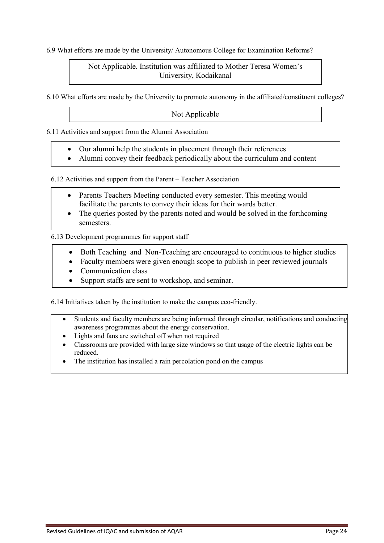6.9 What efforts are made by the University/ Autonomous College for Examination Reforms?

## Not Applicable. Institution was affiliated to Mother Teresa Women's University, Kodaikanal

6.10 What efforts are made by the University to promote autonomy in the affiliated/constituent colleges?

## Not Applicable

6.11 Activities and support from the Alumni Association

- Our alumni help the students in placement through their references
- Alumni convey their feedback periodically about the curriculum and content

6.12 Activities and support from the Parent – Teacher Association

- Parents Teachers Meeting conducted every semester. This meeting would facilitate the parents to convey their ideas for their wards better.
- The queries posted by the parents noted and would be solved in the forthcoming semesters.

6.13 Development programmes for support staff

- Both Teaching and Non-Teaching are encouraged to continuous to higher studies
- Faculty members were given enough scope to publish in peer reviewed journals
- Communication class

delivery of the control of the control of the control of the control of the control of the control of the control of the control of the control of the control of the control of the control of the control of the control of

• Support staffs are sent to workshop, and seminar.

6.14 Initiatives taken by the institution to make the campus eco-friendly.

- Students and faculty members are being informed through circular, notifications and conducting awareness programmes about the energy conservation.
- Lights and fans are switched off when not required
- Classrooms are provided with large size windows so that usage of the electric lights can be reduced.
- The institution has installed a rain percolation pond on the campus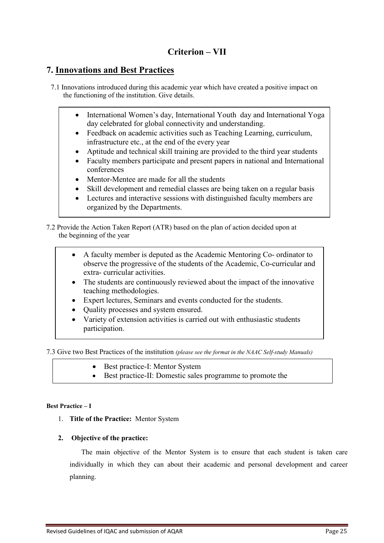# **Criterion – VII**

# **7. Innovations and Best Practices**

- 7.1 Innovations introduced during this academic year which have created a positive impact on the functioning of the institution. Give details.
	- International Women's day, International Youth day and International Yoga day celebrated for global connectivity and understanding.
	- Feedback on academic activities such as Teaching Learning, curriculum, infrastructure etc., at the end of the every year
	- Aptitude and technical skill training are provided to the third year students
	- Faculty members participate and present papers in national and International conferences
	- Mentor-Mentee are made for all the students
	- Skill development and remedial classes are being taken on a regular basis
	- Lectures and interactive sessions with distinguished faculty members are organized by the Departments.

7.2 Provide the Action Taken Report (ATR) based on the plan of action decided upon at the beginning of the year

- A faculty member is deputed as the Academic Mentoring Co- ordinator to observe the progressive of the students of the Academic, Co-curricular and extra- curricular activities.
- The students are continuously reviewed about the impact of the innovative teaching methodologies.
- Expert lectures, Seminars and events conducted for the students.
- Quality processes and system ensured.
- Variety of extension activities is carried out with enthusiastic students participation.

7.3 Give two Best Practices of the institution *(please see the format in the NAAC Self-study Manuals)*

• Best practice-I: Mentor System

entrepreneurial culture

Best practice-II: Domestic sales programme to promote the

#### **Best Practice – I**

1. **Title of the Practice:** Mentor System

### **2. Objective of the practice:**

The main objective of the Mentor System is to ensure that each student is taken care individually in which they can about their academic and personal development and career planning.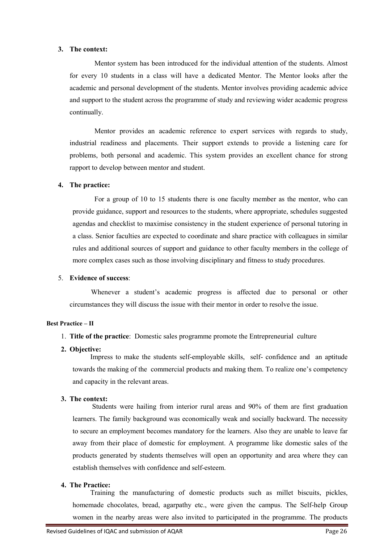#### **3. The context:**

 Mentor system has been introduced for the individual attention of the students. Almost for every 10 students in a class will have a dedicated Mentor. The Mentor looks after the academic and personal development of the students. Mentor involves providing academic advice and support to the student across the programme of study and reviewing wider academic progress continually.

 Mentor provides an academic reference to expert services with regards to study, industrial readiness and placements. Their support extends to provide a listening care for problems, both personal and academic. This system provides an excellent chance for strong rapport to develop between mentor and student.

### **4. The practice:**

 For a group of 10 to 15 students there is one faculty member as the mentor, who can provide guidance, support and resources to the students, where appropriate, schedules suggested agendas and checklist to maximise consistency in the student experience of personal tutoring in a class. Senior faculties are expected to coordinate and share practice with colleagues in similar rules and additional sources of support and guidance to other faculty members in the college of more complex cases such as those involving disciplinary and fitness to study procedures.

### 5. **Evidence of success**:

 Whenever a student's academic progress is affected due to personal or other circumstances they will discuss the issue with their mentor in order to resolve the issue.

#### **Best Practice – II**

- 1. **Title of the practice**: Domestic sales programme promote the Entrepreneurial culture
- **2. Objective:**

 Impress to make the students self-employable skills, self- confidence and an aptitude towards the making of the commercial products and making them. To realize one's competency and capacity in the relevant areas.

## **3. The context:**

 Students were hailing from interior rural areas and 90% of them are first graduation learners. The family background was economically weak and socially backward. The necessity to secure an employment becomes mandatory for the learners. Also they are unable to leave far away from their place of domestic for employment. A programme like domestic sales of the products generated by students themselves will open an opportunity and area where they can establish themselves with confidence and self-esteem.

# **4. The Practice:**

 Training the manufacturing of domestic products such as millet biscuits, pickles, homemade chocolates, bread, agarpathy etc., were given the campus. The Self-help Group women in the nearby areas were also invited to participated in the programme. The products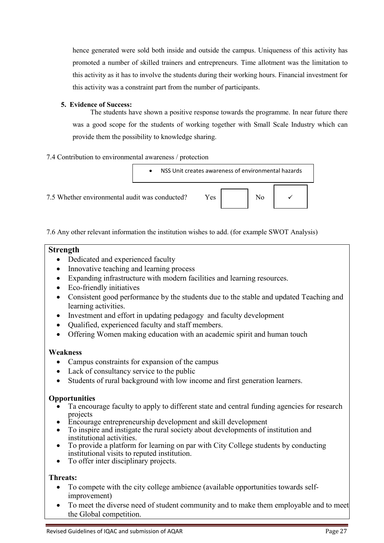hence generated were sold both inside and outside the campus. Uniqueness of this activity has promoted a number of skilled trainers and entrepreneurs. Time allotment was the limitation to this activity as it has to involve the students during their working hours. Financial investment for this activity was a constraint part from the number of participants.

### **5. Evidence of Success:**

 The students have shown a positive response towards the programme. In near future there was a good scope for the students of working together with Small Scale Industry which can provide them the possibility to knowledge sharing.

## 7.4 Contribution to environmental awareness / protection



7.6 Any other relevant information the institution wishes to add. (for example SWOT Analysis)

## **Strength**

- Dedicated and experienced faculty
- Innovative teaching and learning process
- Expanding infrastructure with modern facilities and learning resources.
- Eco-friendly initiatives
- Consistent good performance by the students due to the stable and updated Teaching and learning activities.
- Investment and effort in updating pedagogy and faculty development
- Qualified, experienced faculty and staff members.
- Offering Women making education with an academic spirit and human touch

## **Weakness**

- Campus constraints for expansion of the campus
- Lack of consultancy service to the public
- Students of rural background with low income and first generation learners.

## **Opportunities**

- Ta encourage faculty to apply to different state and central funding agencies for research projects
- Encourage entrepreneurship development and skill development
- To inspire and instigate the rural society about developments of institution and institutional activities.
- To provide a platform for learning on par with City College students by conducting institutional visits to reputed institution.
- To offer inter disciplinary projects.

# **Threats:**

- To compete with the city college ambience (available opportunities towards selfimprovement)
- To meet the diverse need of student community and to make them employable and to meet the Global competition.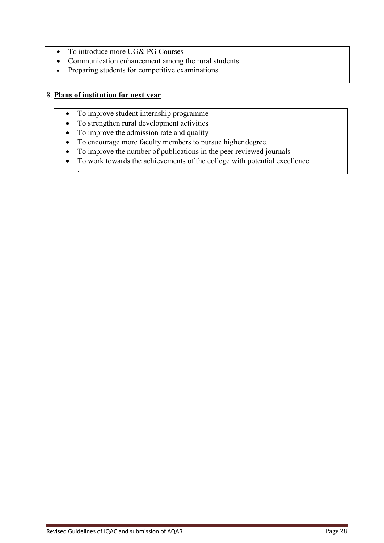- To introduce more UG& PG Courses
- Communication enhancement among the rural students.
- Preparing students for competitive examinations

## 8. **Plans of institution for next year**

.

- To improve student internship programme
- To strengthen rural development activities
- To improve the admission rate and quality
- To encourage more faculty members to pursue higher degree.
- To improve the number of publications in the peer reviewed journals
- To work towards the achievements of the college with potential excellence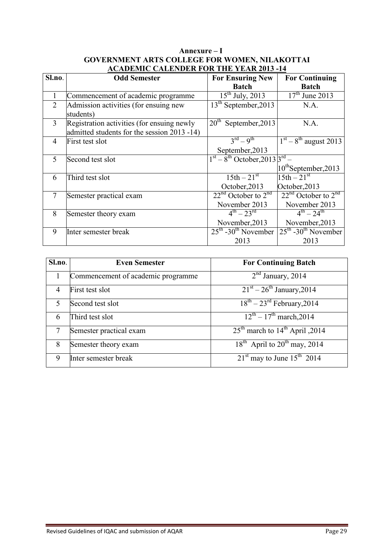|                | ACADEMIC CALEMBER FOR THE TEAR 2013 -14                                                   |                                                                                           |                                                   |  |  |  |  |  |  |
|----------------|-------------------------------------------------------------------------------------------|-------------------------------------------------------------------------------------------|---------------------------------------------------|--|--|--|--|--|--|
| Sl.no.         | <b>Odd Semester</b>                                                                       | <b>For Ensuring New</b>                                                                   | <b>For Continuing</b>                             |  |  |  |  |  |  |
|                |                                                                                           | <b>Batch</b>                                                                              | <b>Batch</b>                                      |  |  |  |  |  |  |
|                | Commencement of academic programme                                                        | $15^{\text{th}}$ July, 2013                                                               | $\frac{17^{\text{th}}}{10^{\text{th}}}$ June 2013 |  |  |  |  |  |  |
| $\overline{2}$ | Admission activities (for ensuing new<br>students)                                        | 13 <sup>th</sup> September, 2013                                                          | N.A.                                              |  |  |  |  |  |  |
| 3              | Registration activities (for ensuing newly<br>admitted students for the session 2013 -14) | 20 <sup>th</sup><br>September, 2013                                                       | N.A.                                              |  |  |  |  |  |  |
| 4              | First test slot                                                                           | $3^{\text{rd}} - 9^{\text{th}}$<br>September, 2013                                        | $1st - 8th$ august 2013                           |  |  |  |  |  |  |
| 5              | Second test slot                                                                          | $1st - 8th October, 20133rd -$                                                            | $10^{th}$ September, 2013                         |  |  |  |  |  |  |
| 6              | Third test slot                                                                           | $15th - 21^{\overline{st}}$<br>October, 2013                                              | $15th - 21^{st}$<br>October, 2013                 |  |  |  |  |  |  |
| $\overline{7}$ | Semester practical exam                                                                   | $22nd$ October to $2nd$<br>November 2013                                                  | $22nd$ October to $2nd$<br>November 2013          |  |  |  |  |  |  |
| 8              | Semester theory exam                                                                      | $\frac{4^{\text{th}} - 23^{\text{rd}}}{4^{\text{th}} - 23^{\text{rd}}}$<br>November, 2013 | $4^{th} - 24^{th}$<br>November, 2013              |  |  |  |  |  |  |
| 9              | Inter semester break                                                                      | $25th$ -30 <sup>th</sup> November<br>2013                                                 | $25th - 30th$ November<br>2013                    |  |  |  |  |  |  |

## **Annexure – I GOVERNMENT ARTS COLLEGE FOR WOMEN, NILAKOTTAI ACADEMIC CALENDER FOR THE YEAR 2013 -14**

| Sl.no. | <b>Even Semester</b>               | <b>For Continuing Batch</b>                            |
|--------|------------------------------------|--------------------------------------------------------|
|        | Commencement of academic programme | $2nd$ January, 2014                                    |
| 4      | First test slot                    | $21st - 26th January, 2014$                            |
|        | Second test slot                   | $\sqrt{18^{th}}$ – 23 <sup>rd</sup> February, 2014     |
| 6      | Third test slot                    | $12^{th} - 17^{th}$ march, 2014                        |
|        | Semester practical exam            | 25 <sup>th</sup> march to $14^{\text{th}}$ April, 2014 |
| 8      | Semester theory exam               | 18 <sup>th</sup> April to 20 <sup>th</sup> may, 2014   |
| 9      | Inter semester break               | $21st$ may to June $15th$ 2014                         |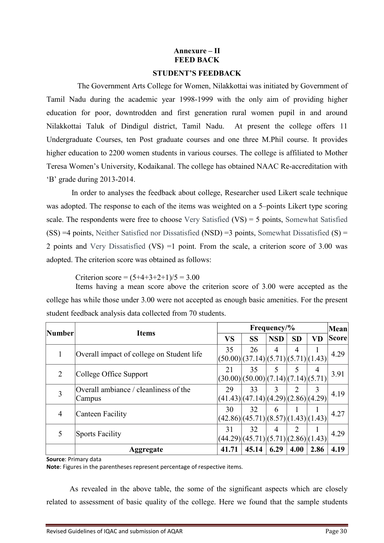## **Annexure – II FEED BACK**

### **STUDENT'S FEEDBACK**

 The Government Arts College for Women, Nilakkottai was initiated by Government of Tamil Nadu during the academic year 1998-1999 with the only aim of providing higher education for poor, downtrodden and first generation rural women pupil in and around Nilakkottai Taluk of Dindigul district, Tamil Nadu. At present the college offers 11 Undergraduate Courses, ten Post graduate courses and one three M.Phil course. It provides higher education to 2200 women students in various courses. The college is affiliated to Mother Teresa Women's University, Kodaikanal. The college has obtained NAAC Re-accreditation with 'B' grade during 2013-2014.

 In order to analyses the feedback about college, Researcher used Likert scale technique was adopted. The response to each of the items was weighted on a 5–points Likert type scoring scale. The respondents were free to choose Very Satisfied (VS) = 5 points, Somewhat Satisfied  $(SS) = 4$  points, Neither Satisfied nor Dissatisfied (NSD) = 3 points, Somewhat Dissatisfied  $(S) =$ 2 points and Very Dissatisfied (VS) =1 point. From the scale, a criterion score of 3.00 was adopted. The criterion score was obtained as follows:

Criterion score =  $(5+4+3+2+1)/5 = 3.00$ 

 Items having a mean score above the criterion score of 3.00 were accepted as the college has while those under 3.00 were not accepted as enough basic amenities. For the present student feedback analysis data collected from 70 students.

| Number | <b>Items</b>                                    |           | Frequency/%                                          |                |           |           | <b>Mean</b>  |
|--------|-------------------------------------------------|-----------|------------------------------------------------------|----------------|-----------|-----------|--------------|
|        |                                                 | <b>VS</b> | <b>SS</b>                                            | <b>NSD</b>     | <b>SD</b> | <b>VD</b> | <b>Score</b> |
| 1      | Overall impact of college on Student life       | 35        | 26<br>(50.00)(37.14)(5.71)(5.71)(1.43)               | $\overline{4}$ | 4         |           | 4.29         |
| 2      | College Office Support                          | 21        | 35<br>(30.00)(50.00)(7.14)(7.14)(5.71)               | 5              | 5         | 4         | 3.91         |
| 3      | Overall ambiance / cleanliness of the<br>Campus | 29        | 33<br>(41.43)(47.14)(4.29)(2.86)(4.29)               | 3              | 2         | 3         | 4.19         |
| 4      | <b>Canteen Facility</b>                         | 30        | 32<br>$(42.86)$ $(45.71)$ $(8.57)$ $(1.43)$ $(1.43)$ | 6              |           |           | 4.27         |
| 5      | <b>Sports Facility</b>                          | 31        | 32<br>(44.29)(45.71)(5.71)(2.86)(1.43)               | $\overline{4}$ | 2         |           | 4.29         |
|        | Aggregate                                       | 41.71     | 45.14                                                | 6.29           | 4.00      | 2.86      | 4.19         |

**Source**: Primary data

**Note**: Figures in the parentheses represent percentage of respective items.

 As revealed in the above table, the some of the significant aspects which are closely related to assessment of basic quality of the college. Here we found that the sample students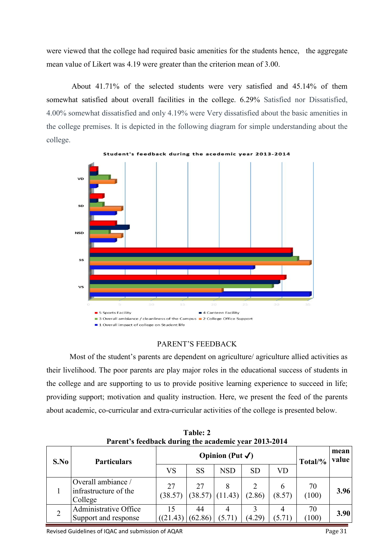were viewed that the college had required basic amenities for the students hence, the aggregate mean value of Likert was 4.19 were greater than the criterion mean of 3.00.

 About 41.71% of the selected students were very satisfied and 45.14% of them somewhat satisfied about overall facilities in the college. 6.29% Satisfied nor Dissatisfied, 4.00% somewhat dissatisfied and only 4.19% were Very dissatisfied about the basic amenities in the college premises. It is depicted in the following diagram for simple understanding about the college.



feedback during the acedemic year 2013-2014

### PARENT'S FEEDBACK

Most of the student's parents are dependent on agriculture/ agriculture allied activities as their livelihood. The poor parents are play major roles in the educational success of students in the college and are supporting to us to provide positive learning experience to succeed in life; providing support; motivation and quality instruction. Here, we present the feed of the parents about academic, co-curricular and extra-curricular activities of the college is presented below.

| S.No | <b>Particulars</b>                                     | Opinion (Put $\checkmark$ ) |               |                   |           |             | Total/%     | mean<br>value |
|------|--------------------------------------------------------|-----------------------------|---------------|-------------------|-----------|-------------|-------------|---------------|
|      |                                                        | VS                          | <b>SS</b>     | <b>NSD</b>        | <b>SD</b> | VD          |             |               |
|      | Overall ambiance /<br>infrastructure of the<br>College | 27<br>(38.57)               | 27            | $(38.57)$ (11.43) | (2.86)    | (8.57)      | 70<br>(100) | 3.96          |
|      | Administrative Office<br>Support and response          | 15<br>((21.43)              | 44<br>(62.86) | 4<br>(5.71)       | (4.29)    | 4<br>(5.71) | 70<br>(100) | 3.90          |

**Table: 2 Parent's feedback during the academic year 2013-2014**

Revised Guidelines of IQAC and submission of AQAR Page 31